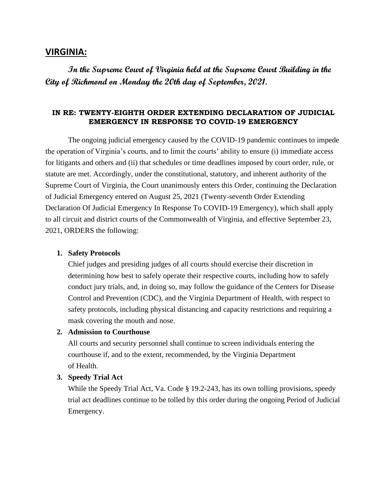# **VIRGINIA:**

**In the Supreme Court of Virginia held at the Supreme Court Building in the City of Richmond on Monday the 20th day of September, 2021.** 

## **IN RE: TWENTY-EIGHTH ORDER EXTENDING DECLARATION OF JUDICIAL EMERGENCY IN RESPONSE TO COVID-19 EMERGENCY**

The ongoing judicial emergency caused by the COVID-19 pandemic continues to impede the operation of Virginia's courts, and to limit the courts' ability to ensure (i) immediate access for litigants and others and (ii) that schedules or time deadlines imposed by court order, rule, or statute are met. Accordingly, under the constitutional, statutory, and inherent authority of the Supreme Court of Virginia, the Court unanimously enters this Order, continuing the Declaration of Judicial Emergency entered on August 25, 2021 (Twenty-seventh Order Extending Declaration Of Judicial Emergency In Response To COVID-19 Emergency), which shall apply to all circuit and district courts of the Commonwealth of Virginia, and effective September 23, 2021, ORDERS the following:

#### **1. Safety Protocols**

Chief judges and presiding judges of all courts should exercise their discretion in determining how best to safely operate their respective courts, including how to safely conduct jury trials, and, in doing so, may follow the guidance of the Centers for Disease Control and Prevention (CDC), and the Virginia Department of Health, with respect to safety protocols, including physical distancing and capacity restrictions and requiring a mask covering the mouth and nose.

#### **2. Admission to Courthouse**

All courts and security personnel shall continue to screen individuals entering the courthouse if, and to the extent, recommended, by the Virginia Department of Health.

### **3. Speedy Trial Act**

While the Speedy Trial Act, Va. Code § 19.2-243, has its own tolling provisions, speedy trial act deadlines continue to be tolled by this order during the ongoing Period of Judicial Emergency.